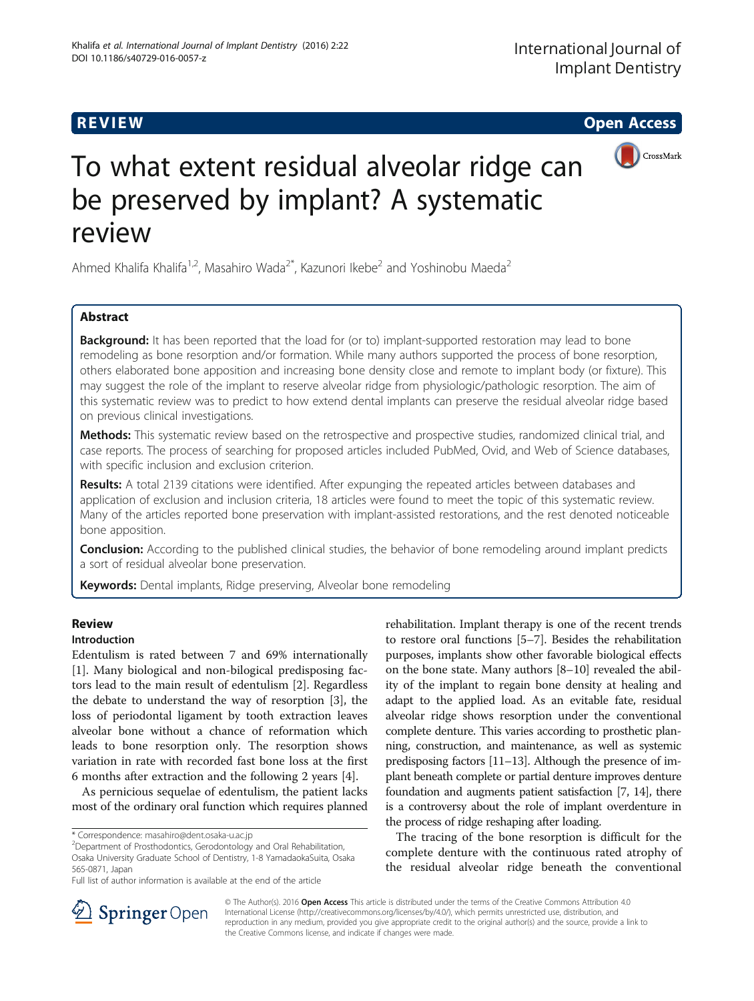

# To what extent residual alveolar ridge can be preserved by implant? A systematic review

Ahmed Khalifa Khalifa<sup>1,2</sup>, Masahiro Wada<sup>2\*</sup>, Kazunori Ikebe<sup>2</sup> and Yoshinobu Maeda<sup>2</sup>

## **Abstract**

**Background:** It has been reported that the load for (or to) implant-supported restoration may lead to bone remodeling as bone resorption and/or formation. While many authors supported the process of bone resorption, others elaborated bone apposition and increasing bone density close and remote to implant body (or fixture). This may suggest the role of the implant to reserve alveolar ridge from physiologic/pathologic resorption. The aim of this systematic review was to predict to how extend dental implants can preserve the residual alveolar ridge based on previous clinical investigations.

Methods: This systematic review based on the retrospective and prospective studies, randomized clinical trial, and case reports. The process of searching for proposed articles included PubMed, Ovid, and Web of Science databases, with specific inclusion and exclusion criterion.

Results: A total 2139 citations were identified. After expunging the repeated articles between databases and application of exclusion and inclusion criteria, 18 articles were found to meet the topic of this systematic review. Many of the articles reported bone preservation with implant-assisted restorations, and the rest denoted noticeable bone apposition.

**Conclusion:** According to the published clinical studies, the behavior of bone remodeling around implant predicts a sort of residual alveolar bone preservation.

Keywords: Dental implants, Ridge preserving, Alveolar bone remodeling

## **Review**

# Introduction

Edentulism is rated between 7 and 69% internationally [[1\]](#page-6-0). Many biological and non-bilogical predisposing factors lead to the main result of edentulism [\[2](#page-6-0)]. Regardless the debate to understand the way of resorption [[3](#page-6-0)], the loss of periodontal ligament by tooth extraction leaves alveolar bone without a chance of reformation which leads to bone resorption only. The resorption shows variation in rate with recorded fast bone loss at the first 6 months after extraction and the following 2 years [\[4\]](#page-6-0).

As pernicious sequelae of edentulism, the patient lacks most of the ordinary oral function which requires planned

<sup>2</sup>Department of Prosthodontics, Gerodontology and Oral Rehabilitation, Osaka University Graduate School of Dentistry, 1-8 YamadaokaSuita, Osaka 565-0871, Japan

rehabilitation. Implant therapy is one of the recent trends to restore oral functions [\[5](#page-6-0)–[7\]](#page-6-0). Besides the rehabilitation purposes, implants show other favorable biological effects on the bone state. Many authors [[8](#page-6-0)–[10\]](#page-6-0) revealed the ability of the implant to regain bone density at healing and adapt to the applied load. As an evitable fate, residual alveolar ridge shows resorption under the conventional complete denture. This varies according to prosthetic planning, construction, and maintenance, as well as systemic predisposing factors [\[11](#page-6-0)–[13\]](#page-6-0). Although the presence of implant beneath complete or partial denture improves denture foundation and augments patient satisfaction [\[7](#page-6-0), [14\]](#page-6-0), there is a controversy about the role of implant overdenture in the process of ridge reshaping after loading.

The tracing of the bone resorption is difficult for the complete denture with the continuous rated atrophy of the residual alveolar ridge beneath the conventional



© The Author(s). 2016 Open Access This article is distributed under the terms of the Creative Commons Attribution 4.0 International License ([http://creativecommons.org/licenses/by/4.0/\)](http://creativecommons.org/licenses/by/4.0/), which permits unrestricted use, distribution, and reproduction in any medium, provided you give appropriate credit to the original author(s) and the source, provide a link to the Creative Commons license, and indicate if changes were made.

<sup>\*</sup> Correspondence: [masahiro@dent.osaka-u.ac.jp](mailto:masahiro@dent.osaka-u.ac.jp) <sup>2</sup>

Full list of author information is available at the end of the article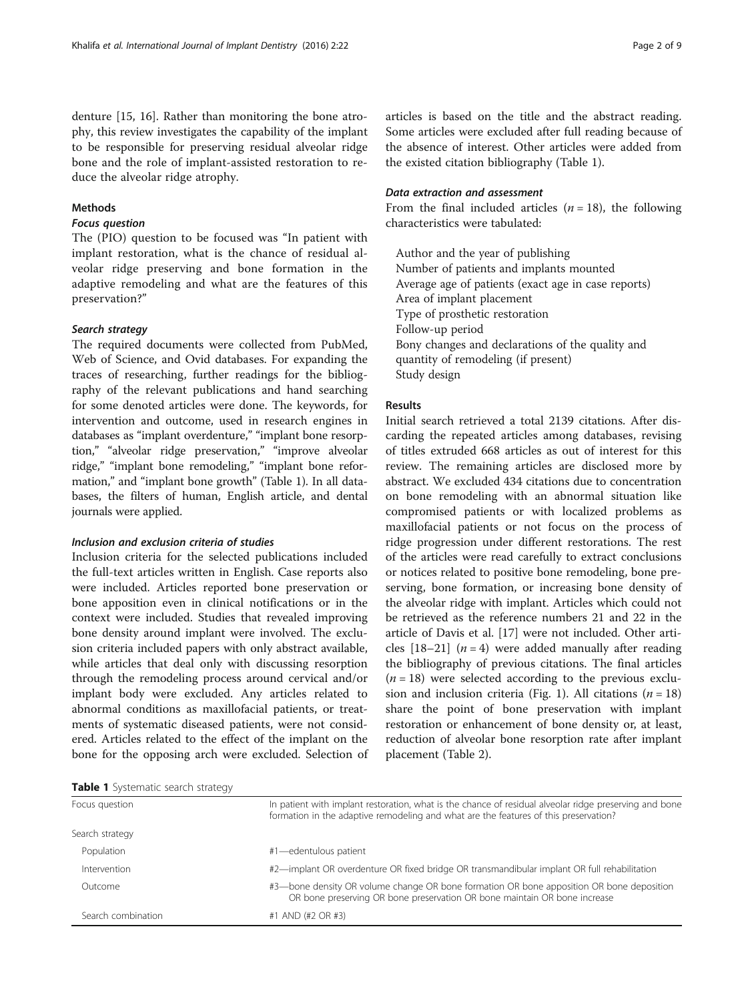denture [[15, 16](#page-6-0)]. Rather than monitoring the bone atrophy, this review investigates the capability of the implant to be responsible for preserving residual alveolar ridge bone and the role of implant-assisted restoration to reduce the alveolar ridge atrophy.

### Methods

#### Focus question

The (PIO) question to be focused was "In patient with implant restoration, what is the chance of residual alveolar ridge preserving and bone formation in the adaptive remodeling and what are the features of this preservation?"

#### Search strategy

The required documents were collected from PubMed, Web of Science, and Ovid databases. For expanding the traces of researching, further readings for the bibliography of the relevant publications and hand searching for some denoted articles were done. The keywords, for intervention and outcome, used in research engines in databases as "implant overdenture," "implant bone resorption," "alveolar ridge preservation," "improve alveolar ridge," "implant bone remodeling," "implant bone reformation," and "implant bone growth" (Table 1). In all databases, the filters of human, English article, and dental journals were applied.

#### Inclusion and exclusion criteria of studies

Inclusion criteria for the selected publications included the full-text articles written in English. Case reports also were included. Articles reported bone preservation or bone apposition even in clinical notifications or in the context were included. Studies that revealed improving bone density around implant were involved. The exclusion criteria included papers with only abstract available, while articles that deal only with discussing resorption through the remodeling process around cervical and/or implant body were excluded. Any articles related to abnormal conditions as maxillofacial patients, or treatments of systematic diseased patients, were not considered. Articles related to the effect of the implant on the bone for the opposing arch were excluded. Selection of articles is based on the title and the abstract reading. Some articles were excluded after full reading because of the absence of interest. Other articles were added from the existed citation bibliography (Table 1).

#### Data extraction and assessment

From the final included articles  $(n = 18)$ , the following characteristics were tabulated:

Author and the year of publishing Number of patients and implants mounted Average age of patients (exact age in case reports) Area of implant placement Type of prosthetic restoration Follow-up period Bony changes and declarations of the quality and quantity of remodeling (if present) Study design

#### Results

Initial search retrieved a total 2139 citations. After discarding the repeated articles among databases, revising of titles extruded 668 articles as out of interest for this review. The remaining articles are disclosed more by abstract. We excluded 434 citations due to concentration on bone remodeling with an abnormal situation like compromised patients or with localized problems as maxillofacial patients or not focus on the process of ridge progression under different restorations. The rest of the articles were read carefully to extract conclusions or notices related to positive bone remodeling, bone preserving, bone formation, or increasing bone density of the alveolar ridge with implant. Articles which could not be retrieved as the reference numbers 21 and 22 in the article of Davis et al. [[17\]](#page-6-0) were not included. Other articles  $[18–21]$  $[18–21]$  $[18–21]$   $(n = 4)$  were added manually after reading the bibliography of previous citations. The final articles  $(n = 18)$  were selected according to the previous exclu-sion and inclusion criteria (Fig. [1](#page-2-0)). All citations ( $n = 18$ ) share the point of bone preservation with implant restoration or enhancement of bone density or, at least, reduction of alveolar bone resorption rate after implant placement (Table [2\)](#page-3-0).

Table 1 Systematic search strategy

| Focus question     | In patient with implant restoration, what is the chance of residual alveolar ridge preserving and bone<br>formation in the adaptive remodeling and what are the features of this preservation? |
|--------------------|------------------------------------------------------------------------------------------------------------------------------------------------------------------------------------------------|
| Search strategy    |                                                                                                                                                                                                |
| Population         | #1-edentulous patient                                                                                                                                                                          |
| Intervention       | #2—implant OR overdenture OR fixed bridge OR transmandibular implant OR full rehabilitation                                                                                                    |
| Outcome            | #3—bone density OR volume change OR bone formation OR bone apposition OR bone deposition<br>OR bone preserving OR bone preservation OR bone maintain OR bone increase                          |
| Search combination | #1 AND (#2 OR #3)                                                                                                                                                                              |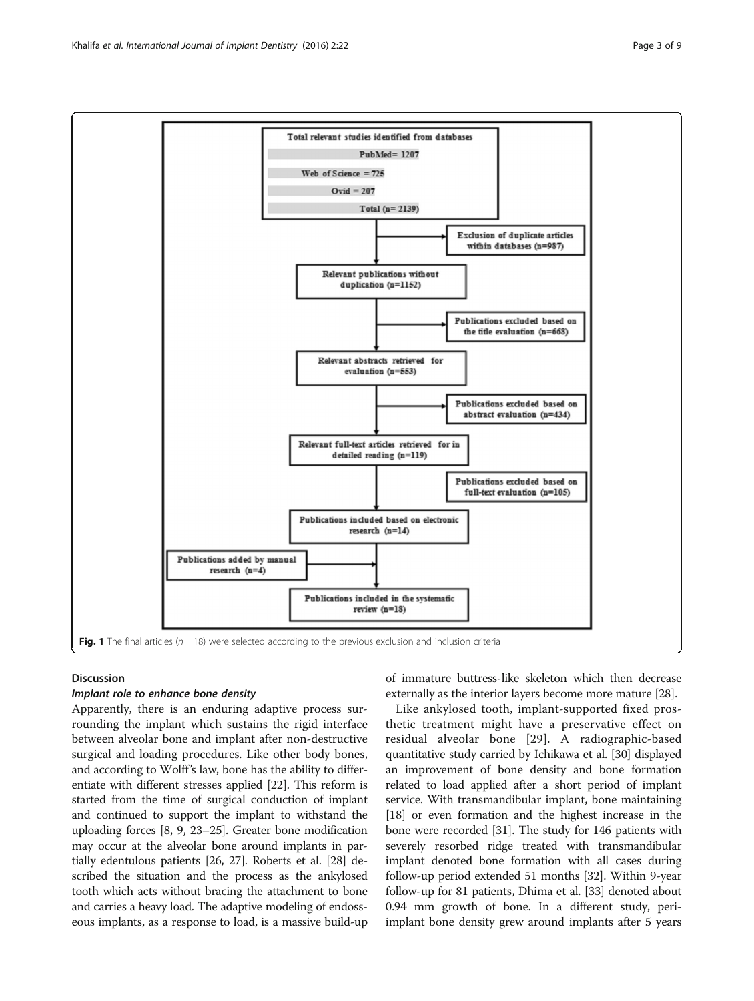<span id="page-2-0"></span>

#### Discussion

#### Implant role to enhance bone density

Apparently, there is an enduring adaptive process surrounding the implant which sustains the rigid interface between alveolar bone and implant after non-destructive surgical and loading procedures. Like other body bones, and according to Wolff's law, bone has the ability to differentiate with different stresses applied [\[22\]](#page-6-0). This reform is started from the time of surgical conduction of implant and continued to support the implant to withstand the uploading forces [[8](#page-6-0), [9, 23](#page-6-0)–[25](#page-6-0)]. Greater bone modification may occur at the alveolar bone around implants in partially edentulous patients [\[26, 27](#page-6-0)]. Roberts et al. [\[28\]](#page-6-0) described the situation and the process as the ankylosed tooth which acts without bracing the attachment to bone and carries a heavy load. The adaptive modeling of endosseous implants, as a response to load, is a massive build-up of immature buttress-like skeleton which then decrease externally as the interior layers become more mature [\[28](#page-6-0)].

Like ankylosed tooth, implant-supported fixed prosthetic treatment might have a preservative effect on residual alveolar bone [[29](#page-6-0)]. A radiographic-based quantitative study carried by Ichikawa et al. [[30](#page-6-0)] displayed an improvement of bone density and bone formation related to load applied after a short period of implant service. With transmandibular implant, bone maintaining [[18](#page-6-0)] or even formation and the highest increase in the bone were recorded [[31](#page-6-0)]. The study for 146 patients with severely resorbed ridge treated with transmandibular implant denoted bone formation with all cases during follow-up period extended 51 months [\[32\]](#page-6-0). Within 9-year follow-up for 81 patients, Dhima et al. [[33\]](#page-6-0) denoted about 0.94 mm growth of bone. In a different study, periimplant bone density grew around implants after 5 years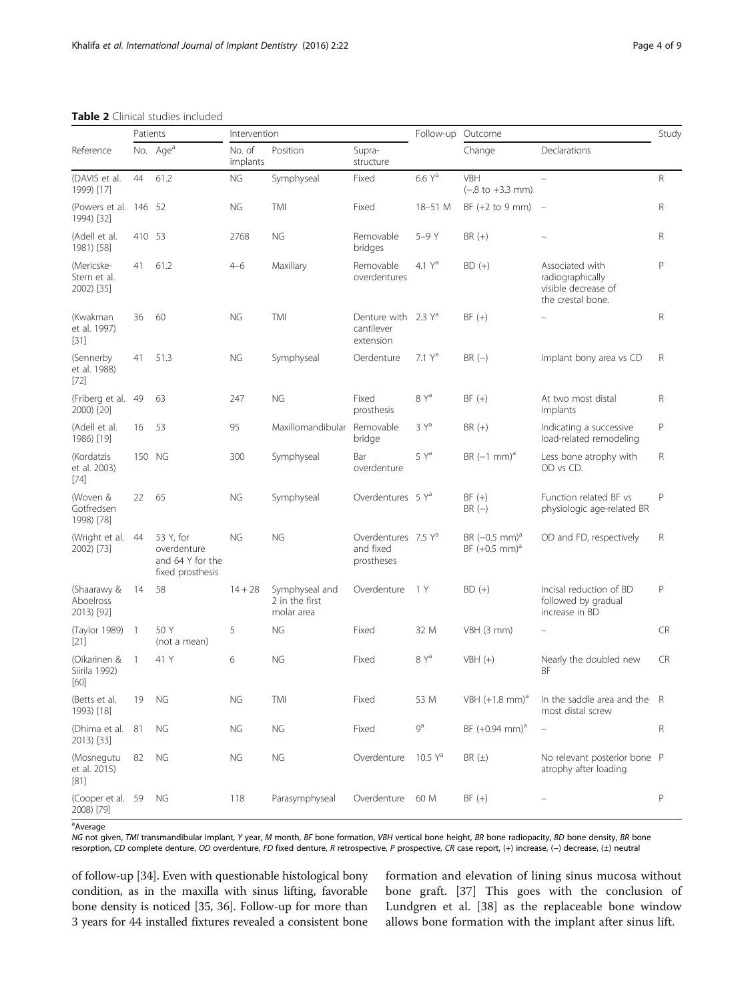# <span id="page-3-0"></span>Table 2 Clinical studies included<br>Patients

| Reference                                |                | No. Age <sup>a</sup>                                             | No. of<br>implants | Position                                       | Supra-<br>structure                                        |                     | Change                                                  | Declarations                                                                    |              |
|------------------------------------------|----------------|------------------------------------------------------------------|--------------------|------------------------------------------------|------------------------------------------------------------|---------------------|---------------------------------------------------------|---------------------------------------------------------------------------------|--------------|
| (DAVIS et al.<br>1999) [17]              | 44             | 61.2                                                             | <b>NG</b>          | Symphyseal                                     | Fixed                                                      | $6.6Y^a$            | VBH<br>$(-.8 \text{ to } +3.3 \text{ mm})$              |                                                                                 | R            |
| (Powers et al. 146 52<br>1994) [32]      |                |                                                                  | NG                 | <b>TMI</b>                                     | Fixed                                                      | 18-51 M             | BF $(+2$ to 9 mm)                                       | $\sim$ $-$                                                                      | R            |
| (Adell et al.<br>1981) [58]              | 410 53         |                                                                  | 2768               | <b>NG</b>                                      | Removable<br>bridges                                       | 5-9 Y               | $BR (+)$                                                |                                                                                 | R            |
| (Mericske-<br>Stern et al.<br>2002) [35] | 41             | 61.2                                                             | $4 - 6$            | Maxillary                                      | Removable<br>overdentures                                  | 4.1 $Y^a$           | $BD (+)$                                                | Associated with<br>radiographically<br>visible decrease of<br>the crestal bone. | P            |
| (Kwakman<br>et al. 1997)<br>[31]         | 36             | 60                                                               | ΝG                 | TMI                                            | Denture with 2.3 Y <sup>a</sup><br>cantilever<br>extension |                     | $BF (+)$                                                |                                                                                 | $\mathsf R$  |
| (Sennerby<br>et al. 1988)<br>$[72]$      | 41             | 51.3                                                             | ΝG                 | Symphyseal                                     | Oerdenture                                                 | 7.1 Y <sup>a</sup>  | $BR(-)$                                                 | Implant bony area vs CD                                                         | R            |
| (Friberg et al. 49<br>2000) [20]         |                | 63                                                               | 247                | <b>NG</b>                                      | Fixed<br>prosthesis                                        | $8Y^a$              | $BF (+)$                                                | At two most distal<br>implants                                                  | R            |
| (Adell et al.<br>1986) [19]              | 16             | 53                                                               | 95                 | Maxillomandibular                              | Removable<br>bridge                                        | 3 Y <sup>a</sup>    | $BR (+)$                                                | Indicating a successive<br>load-related remodeling                              | P            |
| (Kordatzis<br>et al. 2003)<br>$[74]$     | 150 NG         |                                                                  | 300                | Symphyseal                                     | Bar<br>overdenture                                         | $5Y^a$              | $BR(-1 mm)a$                                            | Less bone atrophy with<br>OD vs CD.                                             | R            |
| (Woven &<br>Gotfredsen<br>1998) [78]     | 22             | 65                                                               | NG                 | Symphyseal                                     | Overdentures 5 Ya                                          |                     | $BF (+)$<br>$BR(-)$                                     | Function related BF vs<br>physiologic age-related BR                            | $\mathsf{P}$ |
| (Wright et al. 44<br>2002) [73]          |                | 53 Y, for<br>overdenture<br>and 64 Y for the<br>fixed prosthesis | NG                 | <b>NG</b>                                      | Overdentures 7.5 Ya<br>and fixed<br>prostheses             |                     | BR $(-0.5 \text{ mm})^{\text{a}}$<br>$BF (+0.5 mm)^{a}$ | OD and FD, respectively                                                         | R            |
| (Shaarawy &<br>Aboelross<br>2013) [92]   | 14             | 58                                                               | $14 + 28$          | Symphyseal and<br>2 in the first<br>molar area | Overdenture                                                | 1 Y                 | $BD (+)$                                                | Incisal reduction of BD<br>followed by gradual<br>increase in BD                | $\mathsf{P}$ |
| (Taylor 1989)<br>$[21]$                  | $\overline{1}$ | 50 Y<br>(not a mean)                                             | 5                  | <b>NG</b>                                      | Fixed                                                      | 32 M                | VBH (3 mm)                                              |                                                                                 | <b>CR</b>    |
| (Oikarinen &<br>Siirila 1992)<br>[60]    | $\overline{1}$ | 41 Y                                                             | 6                  | <b>NG</b>                                      | Fixed                                                      | 8 Y <sup>a</sup>    | $VBH (+)$                                               | Nearly the doubled new<br>ΒF                                                    | <b>CR</b>    |
| (Betts et al.<br>1993) [18]              | 19             | ΝG                                                               | ΝG                 | TMI                                            | Fixed                                                      | 53 M                | VBH $(+1.8$ mm) <sup>a</sup>                            | In the saddle area and the R<br>most distal screw                               |              |
| (Dhima et al. 81<br>2013) [33]           |                | ΝG                                                               | ΝG                 | ΝG                                             | Fixed                                                      | $9^a$               | $BF (+0.94 mm)^{a}$                                     |                                                                                 | R            |
| (Mosnegutu<br>et al. 2015)<br>$[81]$     | 82             | ΝG                                                               | ΝG                 | ΝG                                             | Overdenture                                                | 10.5 Y <sup>a</sup> | $BR(\pm)$                                               | No relevant posterior bone P<br>atrophy after loading                           |              |
| (Cooper et al. 59<br>2008) [79]          |                | ΝG                                                               | 118                | Parasymphyseal                                 | Overdenture                                                | 60 M                | $BF (+)$                                                |                                                                                 | P            |

<sup>a</sup> Average

NG not given, TMI transmandibular implant, Y year, M month, BF bone formation, VBH vertical bone height, BR bone radiopacity, BD bone density, BR bone resorption, CD complete denture, OD overdenture, FD fixed denture, R retrospective, P prospective, CR case report, (+) increase, (−) decrease, (±) neutral

of follow-up [\[34\]](#page-6-0). Even with questionable histological bony condition, as in the maxilla with sinus lifting, favorable bone density is noticed [[35](#page-6-0), [36](#page-6-0)]. Follow-up for more than 3 years for 44 installed fixtures revealed a consistent bone

formation and elevation of lining sinus mucosa without bone graft. [\[37](#page-6-0)] This goes with the conclusion of Lundgren et al. [[38](#page-6-0)] as the replaceable bone window allows bone formation with the implant after sinus lift.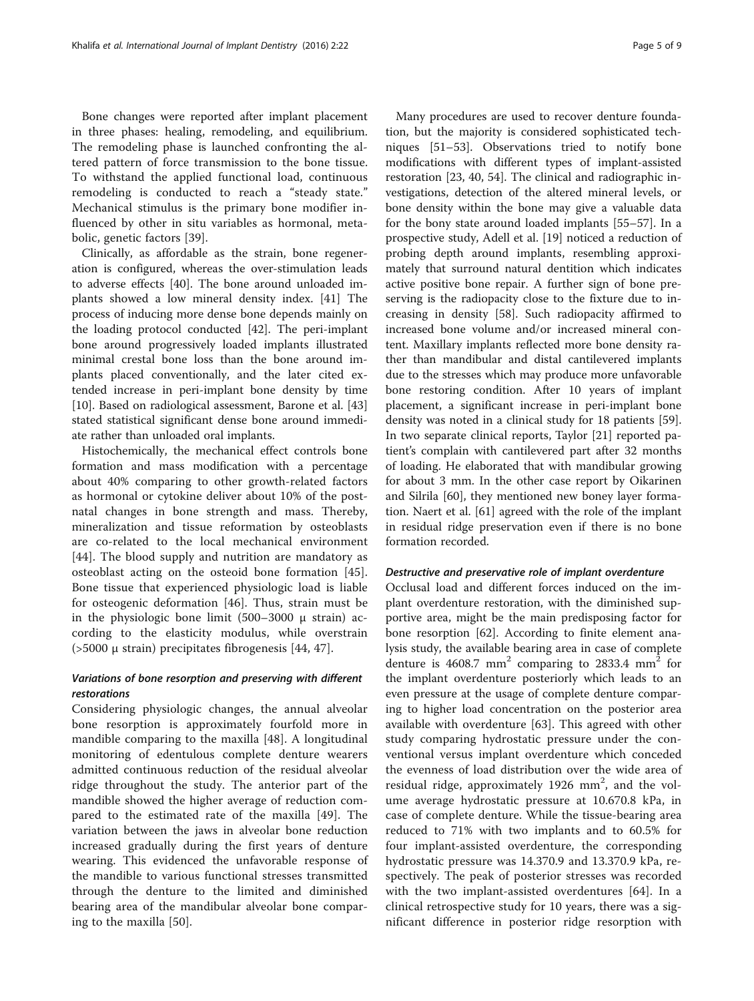Bone changes were reported after implant placement in three phases: healing, remodeling, and equilibrium. The remodeling phase is launched confronting the altered pattern of force transmission to the bone tissue. To withstand the applied functional load, continuous remodeling is conducted to reach a "steady state." Mechanical stimulus is the primary bone modifier influenced by other in situ variables as hormonal, metabolic, genetic factors [[39\]](#page-6-0).

Clinically, as affordable as the strain, bone regeneration is configured, whereas the over-stimulation leads to adverse effects [\[40](#page-7-0)]. The bone around unloaded implants showed a low mineral density index. [\[41\]](#page-7-0) The process of inducing more dense bone depends mainly on the loading protocol conducted [[42\]](#page-7-0). The peri-implant bone around progressively loaded implants illustrated minimal crestal bone loss than the bone around implants placed conventionally, and the later cited extended increase in peri-implant bone density by time [[10\]](#page-6-0). Based on radiological assessment, Barone et al. [[43](#page-7-0)] stated statistical significant dense bone around immediate rather than unloaded oral implants.

Histochemically, the mechanical effect controls bone formation and mass modification with a percentage about 40% comparing to other growth-related factors as hormonal or cytokine deliver about 10% of the postnatal changes in bone strength and mass. Thereby, mineralization and tissue reformation by osteoblasts are co-related to the local mechanical environment [[44\]](#page-7-0). The blood supply and nutrition are mandatory as osteoblast acting on the osteoid bone formation [[45](#page-7-0)]. Bone tissue that experienced physiologic load is liable for osteogenic deformation [[46](#page-7-0)]. Thus, strain must be in the physiologic bone limit  $(500-3000 \mu \text{ strain})$  according to the elasticity modulus, while overstrain (>5000 μ strain) precipitates fibrogenesis [[44, 47](#page-7-0)].

### Variations of bone resorption and preserving with different restorations

Considering physiologic changes, the annual alveolar bone resorption is approximately fourfold more in mandible comparing to the maxilla [\[48](#page-7-0)]. A longitudinal monitoring of edentulous complete denture wearers admitted continuous reduction of the residual alveolar ridge throughout the study. The anterior part of the mandible showed the higher average of reduction compared to the estimated rate of the maxilla [[49\]](#page-7-0). The variation between the jaws in alveolar bone reduction increased gradually during the first years of denture wearing. This evidenced the unfavorable response of the mandible to various functional stresses transmitted through the denture to the limited and diminished bearing area of the mandibular alveolar bone comparing to the maxilla [\[50](#page-7-0)].

Many procedures are used to recover denture foundation, but the majority is considered sophisticated techniques [[51](#page-7-0)–[53](#page-7-0)]. Observations tried to notify bone modifications with different types of implant-assisted restoration [\[23](#page-6-0), [40](#page-7-0), [54](#page-7-0)]. The clinical and radiographic investigations, detection of the altered mineral levels, or bone density within the bone may give a valuable data for the bony state around loaded implants [[55](#page-7-0)–[57](#page-7-0)]. In a prospective study, Adell et al. [[19\]](#page-6-0) noticed a reduction of probing depth around implants, resembling approximately that surround natural dentition which indicates active positive bone repair. A further sign of bone preserving is the radiopacity close to the fixture due to increasing in density [\[58](#page-7-0)]. Such radiopacity affirmed to increased bone volume and/or increased mineral content. Maxillary implants reflected more bone density rather than mandibular and distal cantilevered implants due to the stresses which may produce more unfavorable bone restoring condition. After 10 years of implant placement, a significant increase in peri-implant bone density was noted in a clinical study for 18 patients [\[59](#page-7-0)]. In two separate clinical reports, Taylor [[21\]](#page-6-0) reported patient's complain with cantilevered part after 32 months of loading. He elaborated that with mandibular growing for about 3 mm. In the other case report by Oikarinen and Silrila [\[60](#page-7-0)], they mentioned new boney layer formation. Naert et al. [\[61](#page-7-0)] agreed with the role of the implant in residual ridge preservation even if there is no bone formation recorded.

#### Destructive and preservative role of implant overdenture

Occlusal load and different forces induced on the implant overdenture restoration, with the diminished supportive area, might be the main predisposing factor for bone resorption [\[62\]](#page-7-0). According to finite element analysis study, the available bearing area in case of complete denture is 4608.7 mm<sup>2</sup> comparing to 2833.4 mm<sup>2</sup> for the implant overdenture posteriorly which leads to an even pressure at the usage of complete denture comparing to higher load concentration on the posterior area available with overdenture [[63\]](#page-7-0). This agreed with other study comparing hydrostatic pressure under the conventional versus implant overdenture which conceded the evenness of load distribution over the wide area of residual ridge, approximately  $1926$  mm<sup>2</sup>, and the volume average hydrostatic pressure at 10.670.8 kPa, in case of complete denture. While the tissue-bearing area reduced to 71% with two implants and to 60.5% for four implant-assisted overdenture, the corresponding hydrostatic pressure was 14.370.9 and 13.370.9 kPa, respectively. The peak of posterior stresses was recorded with the two implant-assisted overdentures [\[64](#page-7-0)]. In a clinical retrospective study for 10 years, there was a significant difference in posterior ridge resorption with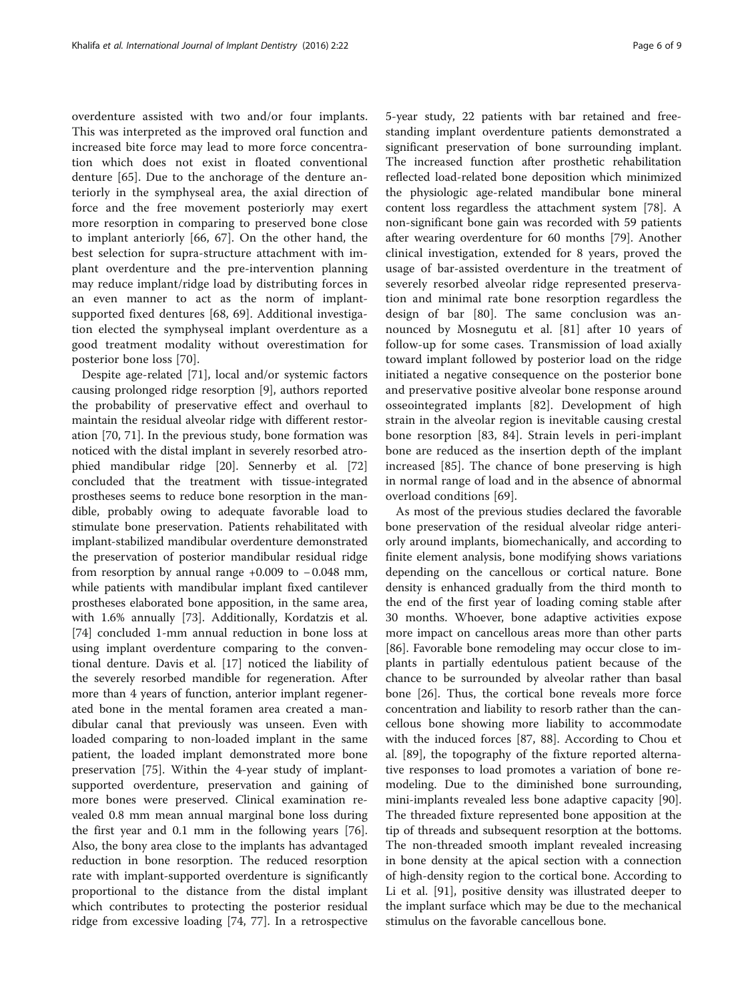overdenture assisted with two and/or four implants. This was interpreted as the improved oral function and increased bite force may lead to more force concentration which does not exist in floated conventional denture [[65\]](#page-7-0). Due to the anchorage of the denture anteriorly in the symphyseal area, the axial direction of force and the free movement posteriorly may exert more resorption in comparing to preserved bone close to implant anteriorly [\[66](#page-7-0), [67\]](#page-7-0). On the other hand, the best selection for supra-structure attachment with implant overdenture and the pre-intervention planning may reduce implant/ridge load by distributing forces in an even manner to act as the norm of implantsupported fixed dentures [[68, 69](#page-7-0)]. Additional investigation elected the symphyseal implant overdenture as a good treatment modality without overestimation for posterior bone loss [\[70](#page-7-0)].

Despite age-related [\[71](#page-7-0)], local and/or systemic factors causing prolonged ridge resorption [[9\]](#page-6-0), authors reported the probability of preservative effect and overhaul to maintain the residual alveolar ridge with different restoration [[70](#page-7-0), [71](#page-7-0)]. In the previous study, bone formation was noticed with the distal implant in severely resorbed atrophied mandibular ridge [\[20](#page-6-0)]. Sennerby et al. [[72](#page-7-0)] concluded that the treatment with tissue-integrated prostheses seems to reduce bone resorption in the mandible, probably owing to adequate favorable load to stimulate bone preservation. Patients rehabilitated with implant-stabilized mandibular overdenture demonstrated the preservation of posterior mandibular residual ridge from resorption by annual range +0.009 to −0.048 mm, while patients with mandibular implant fixed cantilever prostheses elaborated bone apposition, in the same area, with 1.6% annually [[73\]](#page-7-0). Additionally, Kordatzis et al. [[74\]](#page-7-0) concluded 1-mm annual reduction in bone loss at using implant overdenture comparing to the conventional denture. Davis et al. [\[17](#page-6-0)] noticed the liability of the severely resorbed mandible for regeneration. After more than 4 years of function, anterior implant regenerated bone in the mental foramen area created a mandibular canal that previously was unseen. Even with loaded comparing to non-loaded implant in the same patient, the loaded implant demonstrated more bone preservation [\[75\]](#page-7-0). Within the 4-year study of implantsupported overdenture, preservation and gaining of more bones were preserved. Clinical examination revealed 0.8 mm mean annual marginal bone loss during the first year and 0.1 mm in the following years [\[76](#page-7-0)]. Also, the bony area close to the implants has advantaged reduction in bone resorption. The reduced resorption rate with implant-supported overdenture is significantly proportional to the distance from the distal implant which contributes to protecting the posterior residual ridge from excessive loading [\[74](#page-7-0), [77](#page-7-0)]. In a retrospective

5-year study, 22 patients with bar retained and freestanding implant overdenture patients demonstrated a significant preservation of bone surrounding implant. The increased function after prosthetic rehabilitation reflected load-related bone deposition which minimized the physiologic age-related mandibular bone mineral content loss regardless the attachment system [\[78](#page-7-0)]. A non-significant bone gain was recorded with 59 patients after wearing overdenture for 60 months [\[79](#page-7-0)]. Another clinical investigation, extended for 8 years, proved the usage of bar-assisted overdenture in the treatment of severely resorbed alveolar ridge represented preservation and minimal rate bone resorption regardless the design of bar [\[80](#page-7-0)]. The same conclusion was announced by Mosnegutu et al. [\[81](#page-7-0)] after 10 years of follow-up for some cases. Transmission of load axially toward implant followed by posterior load on the ridge initiated a negative consequence on the posterior bone and preservative positive alveolar bone response around osseointegrated implants [[82\]](#page-7-0). Development of high strain in the alveolar region is inevitable causing crestal bone resorption [\[83, 84](#page-7-0)]. Strain levels in peri-implant bone are reduced as the insertion depth of the implant increased [\[85](#page-7-0)]. The chance of bone preserving is high in normal range of load and in the absence of abnormal overload conditions [\[69](#page-7-0)].

As most of the previous studies declared the favorable bone preservation of the residual alveolar ridge anteriorly around implants, biomechanically, and according to finite element analysis, bone modifying shows variations depending on the cancellous or cortical nature. Bone density is enhanced gradually from the third month to the end of the first year of loading coming stable after 30 months. Whoever, bone adaptive activities expose more impact on cancellous areas more than other parts [[86\]](#page-7-0). Favorable bone remodeling may occur close to implants in partially edentulous patient because of the chance to be surrounded by alveolar rather than basal bone [[26\]](#page-6-0). Thus, the cortical bone reveals more force concentration and liability to resorb rather than the cancellous bone showing more liability to accommodate with the induced forces [\[87, 88\]](#page-8-0). According to Chou et al. [\[89](#page-8-0)], the topography of the fixture reported alternative responses to load promotes a variation of bone remodeling. Due to the diminished bone surrounding, mini-implants revealed less bone adaptive capacity [\[90](#page-8-0)]. The threaded fixture represented bone apposition at the tip of threads and subsequent resorption at the bottoms. The non-threaded smooth implant revealed increasing in bone density at the apical section with a connection of high-density region to the cortical bone. According to Li et al. [[91](#page-8-0)], positive density was illustrated deeper to the implant surface which may be due to the mechanical stimulus on the favorable cancellous bone.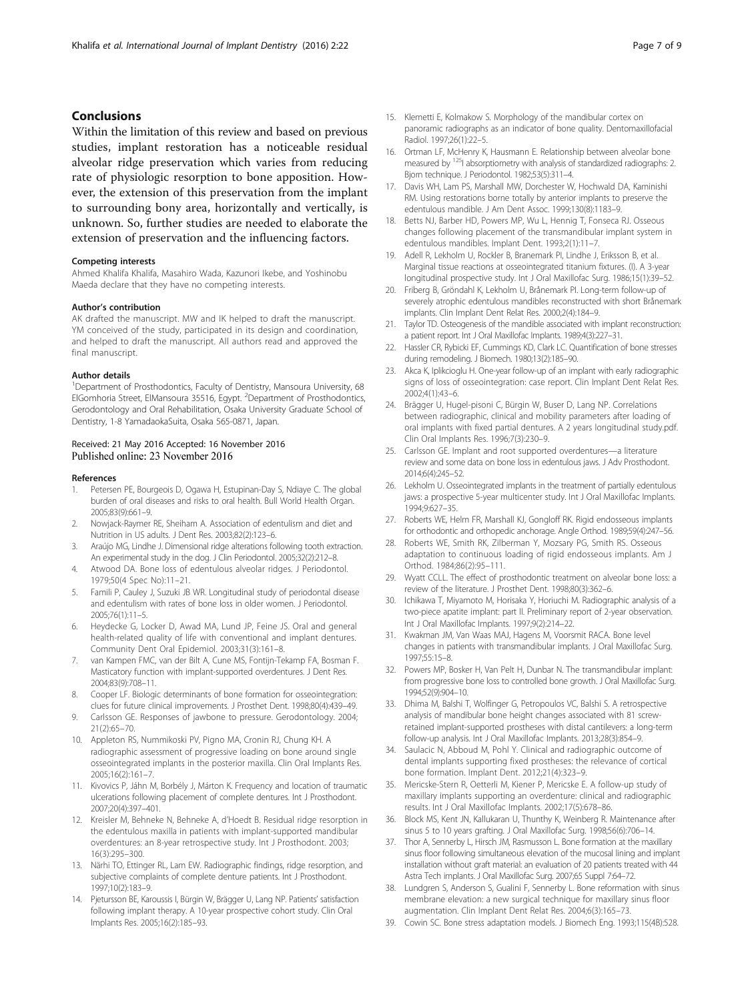#### <span id="page-6-0"></span>**Conclusions**

Within the limitation of this review and based on previous studies, implant restoration has a noticeable residual alveolar ridge preservation which varies from reducing rate of physiologic resorption to bone apposition. However, the extension of this preservation from the implant to surrounding bony area, horizontally and vertically, is unknown. So, further studies are needed to elaborate the extension of preservation and the influencing factors.

#### Competing interests

Ahmed Khalifa Khalifa, Masahiro Wada, Kazunori Ikebe, and Yoshinobu Maeda declare that they have no competing interests.

#### Author's contribution

AK drafted the manuscript. MW and IK helped to draft the manuscript. YM conceived of the study, participated in its design and coordination, and helped to draft the manuscript. All authors read and approved the final manuscript.

#### Author details

<sup>1</sup>Department of Prosthodontics, Faculty of Dentistry, Mansoura University, 68 ElGomhoria Street, ElMansoura 35516, Egypt. <sup>2</sup>Department of Prosthodontics, Gerodontology and Oral Rehabilitation, Osaka University Graduate School of Dentistry, 1-8 YamadaokaSuita, Osaka 565-0871, Japan.

#### Received: 21 May 2016 Accepted: 16 November 2016 Published online: 23 November 2016

#### References

- 1. Petersen PE, Bourgeois D, Ogawa H, Estupinan-Day S, Ndiaye C. The global burden of oral diseases and risks to oral health. Bull World Health Organ. 2005;83(9):661–9.
- 2. Nowjack-Raymer RE, Sheiham A. Association of edentulism and diet and Nutrition in US adults. J Dent Res. 2003;82(2):123–6.
- 3. Araújo MG, Lindhe J. Dimensional ridge alterations following tooth extraction. An experimental study in the dog. J Clin Periodontol. 2005;32(2):212–8.
- 4. Atwood DA. Bone loss of edentulous alveolar ridges. J Periodontol. 1979;50(4 Spec No):11–21.
- 5. Famili P, Cauley J, Suzuki JB WR. Longitudinal study of periodontal disease and edentulism with rates of bone loss in older women. J Periodontol. 2005;76(1):11–5.
- 6. Heydecke G, Locker D, Awad MA, Lund JP, Feine JS. Oral and general health-related quality of life with conventional and implant dentures. Community Dent Oral Epidemiol. 2003;31(3):161–8.
- 7. van Kampen FMC, van der Bilt A, Cune MS, Fontijn-Tekamp FA, Bosman F. Masticatory function with implant-supported overdentures. J Dent Res. 2004;83(9):708–11.
- 8. Cooper LF. Biologic determinants of bone formation for osseointegration: clues for future clinical improvements. J Prosthet Dent. 1998;80(4):439–49.
- 9. Carlsson GE. Responses of jawbone to pressure. Gerodontology. 2004; 21(2):65–70.
- 10. Appleton RS, Nummikoski PV, Pigno MA, Cronin RJ, Chung KH. A radiographic assessment of progressive loading on bone around single osseointegrated implants in the posterior maxilla. Clin Oral Implants Res. 2005;16(2):161–7.
- 11. Kivovics P, Jáhn M, Borbély J, Márton K. Frequency and location of traumatic ulcerations following placement of complete dentures. Int J Prosthodont. 2007;20(4):397–401.
- 12. Kreisler M, Behneke N, Behneke A, d'Hoedt B. Residual ridge resorption in the edentulous maxilla in patients with implant-supported mandibular overdentures: an 8-year retrospective study. Int J Prosthodont. 2003; 16(3):295–300.
- 13. Närhi TO, Ettinger RL, Lam EW. Radiographic findings, ridge resorption, and subjective complaints of complete denture patients. Int J Prosthodont. 1997;10(2):183–9.
- 14. Pjetursson BE, Karoussis I, Bürgin W, Brägger U, Lang NP. Patients' satisfaction following implant therapy. A 10-year prospective cohort study. Clin Oral Implants Res. 2005;16(2):185–93.
- 15. Klemetti E, Kolmakow S. Morphology of the mandibular cortex on panoramic radiographs as an indicator of bone quality. Dentomaxillofacial Radiol. 1997;26(1):22–5.
- 16. Ortman LF, McHenry K, Hausmann E. Relationship between alveolar bone measured by <sup>125</sup>I absorptiometry with analysis of standardized radiographs: 2. Bjorn technique. J Periodontol. 1982;53(5):311–4.
- 17. Davis WH, Lam PS, Marshall MW, Dorchester W, Hochwald DA, Kaminishi RM. Using restorations borne totally by anterior implants to preserve the edentulous mandible. J Am Dent Assoc. 1999;130(8):1183–9.
- 18. Betts NJ, Barber HD, Powers MP, Wu L, Hennig T, Fonseca RJ. Osseous changes following placement of the transmandibular implant system in edentulous mandibles. Implant Dent. 1993;2(1):11–7.
- 19. Adell R, Lekholm U, Rockler B, Branemark PI, Lindhe J, Eriksson B, et al. Marginal tissue reactions at osseointegrated titanium fixtures. (I). A 3-year longitudinal prospective study. Int J Oral Maxillofac Surg. 1986;15(1):39–52.
- 20. Friberg B, Gröndahl K, Lekholm U, Brånemark PI. Long-term follow-up of severely atrophic edentulous mandibles reconstructed with short Brånemark implants. Clin Implant Dent Relat Res. 2000;2(4):184–9.
- 21. Taylor TD. Osteogenesis of the mandible associated with implant reconstruction: a patient report. Int J Oral Maxillofac Implants. 1989;4(3):227–31.
- 22. Hassler CR, Rybicki EF, Cummings KD, Clark LC. Quantification of bone stresses during remodeling. J Biomech. 1980;13(2):185–90.
- 23. Akca K, Iplikcioglu H. One-year follow-up of an implant with early radiographic signs of loss of osseointegration: case report. Clin Implant Dent Relat Res. 2002;4(1):43–6.
- 24. Brägger U, Hugel-pisoni C, Bürgin W, Buser D, Lang NP. Correlations between radiographic, clinical and mobility parameters after loading of oral implants with fixed partial dentures. A 2 years longitudinal study.pdf. Clin Oral Implants Res. 1996;7(3):230–9.
- 25. Carlsson GE. Implant and root supported overdentures—a literature review and some data on bone loss in edentulous jaws. J Adv Prosthodont. 2014;6(4):245–52.
- 26. Lekholm U. Osseointegrated implants in the treatment of partially edentulous jaws: a prospective 5-year multicenter study. Int J Oral Maxillofac Implants. 1994;9:627–35.
- 27. Roberts WE, Helm FR, Marshall KJ, Gongloff RK. Rigid endosseous implants for orthodontic and orthopedic anchorage. Angle Orthod. 1989;59(4):247–56.
- 28. Roberts WE, Smith RK, Zilberman Y, Mozsary PG, Smith RS. Osseous adaptation to continuous loading of rigid endosseous implants. Am J Orthod. 1984;86(2):95–111.
- 29. Wyatt CCLL. The effect of prosthodontic treatment on alveolar bone loss: a review of the literature. J Prosthet Dent. 1998;80(3):362–6.
- 30. Ichikawa T, Miyamoto M, Horisaka Y, Horiuchi M. Radiographic analysis of a two-piece apatite implant: part II. Preliminary report of 2-year observation. Int J Oral Maxillofac Implants. 1997;9(2):214–22.
- 31. Kwakman JM, Van Waas MAJ, Hagens M, Voorsmit RACA. Bone level changes in patients with transmandibular implants. J Oral Maxillofac Surg. 1997;55:15–8.
- 32. Powers MP, Bosker H, Van Pelt H, Dunbar N. The transmandibular implant: from progressive bone loss to controlled bone growth. J Oral Maxillofac Surg. 1994;52(9):904–10.
- 33. Dhima M, Balshi T, Wolfinger G, Petropoulos VC, Balshi S. A retrospective analysis of mandibular bone height changes associated with 81 screwretained implant-supported prostheses with distal cantilevers: a long-term follow-up analysis. Int J Oral Maxillofac Implants. 2013;28(3):854–9.
- 34. Saulacic N, Abboud M, Pohl Y. Clinical and radiographic outcome of dental implants supporting fixed prostheses: the relevance of cortical bone formation. Implant Dent. 2012;21(4):323–9.
- 35. Mericske-Stern R, Oetterli M, Kiener P, Mericske E. A follow-up study of maxillary implants supporting an overdenture: clinical and radiographic results. Int J Oral Maxillofac Implants. 2002;17(5):678–86.
- 36. Block MS, Kent JN, Kallukaran U, Thunthy K, Weinberg R. Maintenance after sinus 5 to 10 years grafting. J Oral Maxillofac Surg. 1998;56(6):706–14.
- 37. Thor A, Sennerby L, Hirsch JM, Rasmusson L. Bone formation at the maxillary sinus floor following simultaneous elevation of the mucosal lining and implant installation without graft material: an evaluation of 20 patients treated with 44 Astra Tech implants. J Oral Maxillofac Surg. 2007;65 Suppl 7:64–72.
- 38. Lundgren S, Anderson S, Gualini F, Sennerby L. Bone reformation with sinus membrane elevation: a new surgical technique for maxillary sinus floor augmentation. Clin Implant Dent Relat Res. 2004;6(3):165–73.
- 39. Cowin SC. Bone stress adaptation models. J Biomech Eng. 1993;115(4B):528.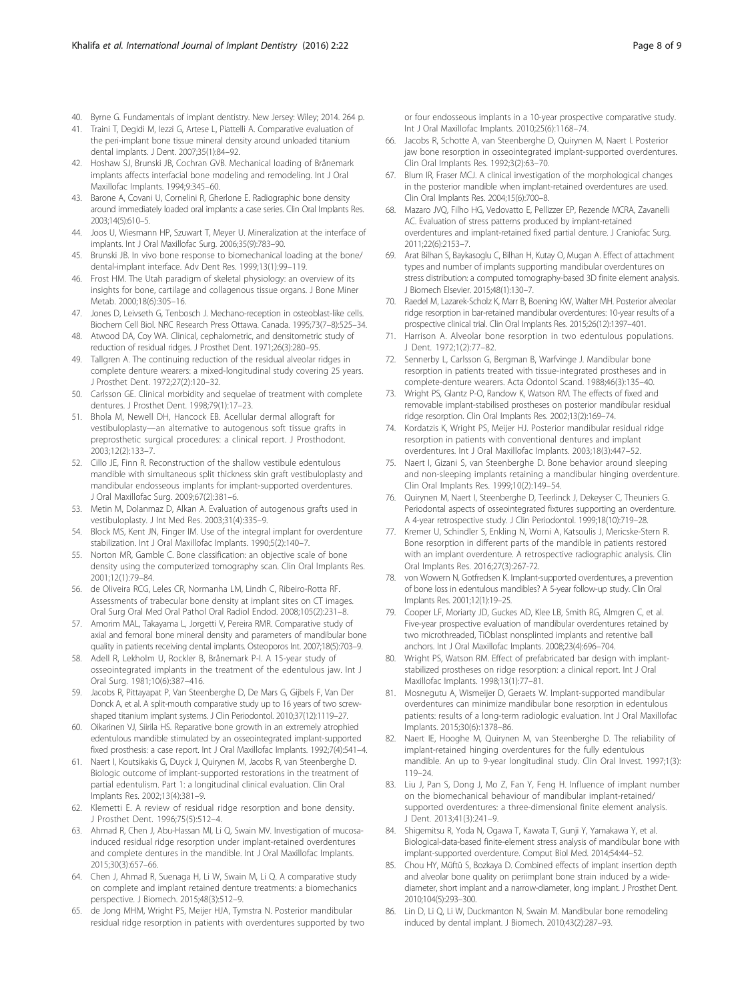- <span id="page-7-0"></span>40. Byrne G. Fundamentals of implant dentistry. New Jersey: Wiley; 2014. 264 p.
- 41. Traini T, Degidi M, Iezzi G, Artese L, Piattelli A. Comparative evaluation of the peri-implant bone tissue mineral density around unloaded titanium dental implants. J Dent. 2007;35(1):84–92.
- 42. Hoshaw SJ, Brunski JB, Cochran GVB. Mechanical loading of Brånemark implants affects interfacial bone modeling and remodeling. Int J Oral Maxillofac Implants. 1994;9:345–60.
- 43. Barone A, Covani U, Cornelini R, Gherlone E. Radiographic bone density around immediately loaded oral implants: a case series. Clin Oral Implants Res. 2003;14(5):610–5.
- Joos U, Wiesmann HP, Szuwart T, Meyer U. Mineralization at the interface of implants. Int J Oral Maxillofac Surg. 2006;35(9):783–90.
- 45. Brunski JB. In vivo bone response to biomechanical loading at the bone/ dental-implant interface. Adv Dent Res. 1999;13(1):99–119.
- 46. Frost HM. The Utah paradigm of skeletal physiology: an overview of its insights for bone, cartilage and collagenous tissue organs. J Bone Miner Metab. 2000;18(6):305–16.
- 47. Jones D, Leivseth G, Tenbosch J. Mechano-reception in osteoblast-like cells. Biochem Cell Biol. NRC Research Press Ottawa. Canada. 1995;73(7–8):525–34.
- 48. Atwood DA, Coy WA. Clinical, cephalometric, and densitometric study of reduction of residual ridges. J Prosthet Dent. 1971;26(3):280–95.
- 49. Tallgren A. The continuing reduction of the residual alveolar ridges in complete denture wearers: a mixed-longitudinal study covering 25 years. J Prosthet Dent. 1972;27(2):120–32.
- 50. Carlsson GE. Clinical morbidity and sequelae of treatment with complete dentures. J Prosthet Dent. 1998;79(1):17–23.
- 51. Bhola M, Newell DH, Hancock EB. Acellular dermal allograft for vestibuloplasty—an alternative to autogenous soft tissue grafts in preprosthetic surgical procedures: a clinical report. J Prosthodont. 2003;12(2):133–7.
- 52. Cillo JE, Finn R. Reconstruction of the shallow vestibule edentulous mandible with simultaneous split thickness skin graft vestibuloplasty and mandibular endosseous implants for implant-supported overdentures. J Oral Maxillofac Surg. 2009;67(2):381–6.
- 53. Metin M, Dolanmaz D, Alkan A. Evaluation of autogenous grafts used in vestibuloplasty. J Int Med Res. 2003;31(4):335–9.
- 54. Block MS, Kent JN, Finger IM. Use of the integral implant for overdenture stabilization. Int J Oral Maxillofac Implants. 1990;5(2):140–7.
- 55. Norton MR, Gamble C. Bone classification: an objective scale of bone density using the computerized tomography scan. Clin Oral Implants Res. 2001;12(1):79–84.
- 56. de Oliveira RCG, Leles CR, Normanha LM, Lindh C, Ribeiro-Rotta RF. Assessments of trabecular bone density at implant sites on CT images. Oral Surg Oral Med Oral Pathol Oral Radiol Endod. 2008;105(2):231–8.
- 57. Amorim MAL, Takayama L, Jorgetti V, Pereira RMR. Comparative study of axial and femoral bone mineral density and parameters of mandibular bone quality in patients receiving dental implants. Osteoporos Int. 2007;18(5):703–9.
- 58. Adell R, Lekholm U, Rockler B, Brånemark P-I. A 15-year study of osseointegrated implants in the treatment of the edentulous jaw. Int J Oral Surg. 1981;10(6):387–416.
- 59. Jacobs R, Pittayapat P, Van Steenberghe D, De Mars G, Gijbels F, Van Der Donck A, et al. A split-mouth comparative study up to 16 years of two screwshaped titanium implant systems. J Clin Periodontol. 2010;37(12):1119–27.
- 60. Oikarinen VJ, Siirila HS. Reparative bone growth in an extremely atrophied edentulous mandible stimulated by an osseointegrated implant-supported fixed prosthesis: a case report. Int J Oral Maxillofac Implants. 1992;7(4):541–4.
- 61. Naert I, Koutsikakis G, Duyck J, Quirynen M, Jacobs R, van Steenberghe D. Biologic outcome of implant-supported restorations in the treatment of partial edentulism. Part 1: a longitudinal clinical evaluation. Clin Oral Implants Res. 2002;13(4):381–9.
- 62. Klemetti E. A review of residual ridge resorption and bone density. J Prosthet Dent. 1996;75(5):512–4.
- 63. Ahmad R, Chen J, Abu-Hassan MI, Li Q, Swain MV. Investigation of mucosainduced residual ridge resorption under implant-retained overdentures and complete dentures in the mandible. Int J Oral Maxillofac Implants. 2015;30(3):657–66.
- 64. Chen J, Ahmad R, Suenaga H, Li W, Swain M, Li Q. A comparative study on complete and implant retained denture treatments: a biomechanics perspective. J Biomech. 2015;48(3):512–9.
- 65. de Jong MHM, Wright PS, Meijer HJA, Tymstra N. Posterior mandibular residual ridge resorption in patients with overdentures supported by two

or four endosseous implants in a 10-year prospective comparative study. Int J Oral Maxillofac Implants. 2010;25(6):1168–74.

- 66. Jacobs R, Schotte A, van Steenberghe D, Quirynen M, Naert I. Posterior jaw bone resorption in osseointegrated implant-supported overdentures. Clin Oral Implants Res. 1992;3(2):63–70.
- 67. Blum IR, Fraser MCJ. A clinical investigation of the morphological changes in the posterior mandible when implant-retained overdentures are used. Clin Oral Implants Res. 2004;15(6):700–8.
- 68. Mazaro JVQ, Filho HG, Vedovatto E, Pellizzer EP, Rezende MCRA, Zavanelli AC. Evaluation of stress patterns produced by implant-retained overdentures and implant-retained fixed partial denture. J Craniofac Surg. 2011;22(6):2153–7.
- 69. Arat Bilhan S, Baykasoglu C, Bilhan H, Kutay O, Mugan A. Effect of attachment types and number of implants supporting mandibular overdentures on stress distribution: a computed tomography-based 3D finite element analysis. J Biomech Elsevier. 2015;48(1):130–7.
- 70. Raedel M, Lazarek-Scholz K, Marr B, Boening KW, Walter MH. Posterior alveolar ridge resorption in bar-retained mandibular overdentures: 10-year results of a prospective clinical trial. Clin Oral Implants Res. 2015;26(12):1397–401.
- 71. Harrison A. Alveolar bone resorption in two edentulous populations. J Dent. 1972;1(2):77–82.
- 72. Sennerby L, Carlsson G, Bergman B, Warfvinge J. Mandibular bone resorption in patients treated with tissue-integrated prostheses and in complete-denture wearers. Acta Odontol Scand. 1988;46(3):135–40.
- 73. Wright PS, Glantz P-O, Randow K, Watson RM. The effects of fixed and removable implant-stabilised prostheses on posterior mandibular residual ridge resorption. Clin Oral Implants Res. 2002;13(2):169–74.
- 74. Kordatzis K, Wright PS, Meijer HJ. Posterior mandibular residual ridge resorption in patients with conventional dentures and implant overdentures. Int J Oral Maxillofac Implants. 2003;18(3):447–52.
- 75. Naert I, Gizani S, van Steenberghe D. Bone behavior around sleeping and non-sleeping implants retaining a mandibular hinging overdenture. Clin Oral Implants Res. 1999;10(2):149–54.
- 76. Quirynen M, Naert I, Steenberghe D, Teerlinck J, Dekeyser C, Theuniers G. Periodontal aspects of osseointegrated fixtures supporting an overdenture. A 4-year retrospective study. J Clin Periodontol. 1999;18(10):719–28.
- 77. Kremer U, Schindler S, Enkling N, Worni A, Katsoulis J, Mericske-Stern R. Bone resorption in different parts of the mandible in patients restored with an implant overdenture. A retrospective radiographic analysis. Clin Oral Implants Res. 2016;27(3):267-72.
- 78. von Wowern N, Gotfredsen K. Implant-supported overdentures, a prevention of bone loss in edentulous mandibles? A 5-year follow-up study. Clin Oral Implants Res. 2001;12(1):19–25.
- 79. Cooper LF, Moriarty JD, Guckes AD, Klee LB, Smith RG, Almgren C, et al. Five-year prospective evaluation of mandibular overdentures retained by two microthreaded, TiOblast nonsplinted implants and retentive ball anchors. Int J Oral Maxillofac Implants. 2008;23(4):696–704.
- 80. Wright PS, Watson RM. Effect of prefabricated bar design with implantstabilized prostheses on ridge resorption: a clinical report. Int J Oral Maxillofac Implants. 1998;13(1):77–81.
- 81. Mosnegutu A, Wismeijer D, Geraets W. Implant-supported mandibular overdentures can minimize mandibular bone resorption in edentulous patients: results of a long-term radiologic evaluation. Int J Oral Maxillofac Implants. 2015;30(6):1378–86.
- 82. Naert IE, Hooghe M, Quirynen M, van Steenberghe D. The reliability of implant-retained hinging overdentures for the fully edentulous mandible. An up to 9-year longitudinal study. Clin Oral Invest. 1997;1(3): 119–24.
- 83. Liu J, Pan S, Dong J, Mo Z, Fan Y, Feng H. Influence of implant number on the biomechanical behaviour of mandibular implant-retained/ supported overdentures: a three-dimensional finite element analysis. J Dent. 2013;41(3):241–9.
- 84. Shigemitsu R, Yoda N, Ogawa T, Kawata T, Gunji Y, Yamakawa Y, et al. Biological-data-based finite-element stress analysis of mandibular bone with implant-supported overdenture. Comput Biol Med. 2014;54:44–52.
- 85. Chou HY, Müftü S, Bozkaya D. Combined effects of implant insertion depth and alveolar bone quality on periimplant bone strain induced by a widediameter, short implant and a narrow-diameter, long implant. J Prosthet Dent. 2010;104(5):293–300.
- 86. Lin D, Li Q, Li W, Duckmanton N, Swain M. Mandibular bone remodeling induced by dental implant. J Biomech. 2010;43(2):287–93.